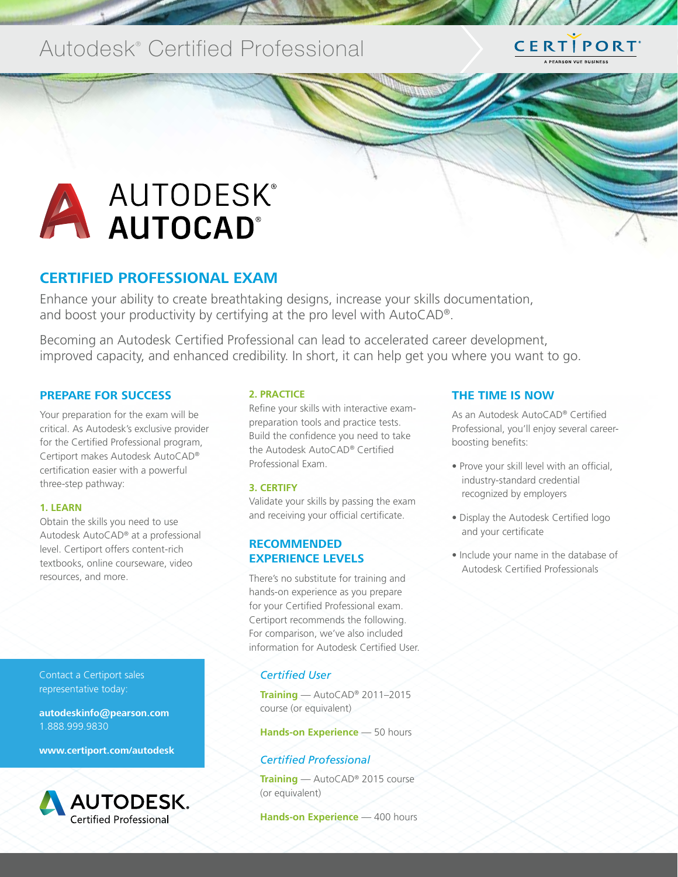## Autodesk<sup>®</sup> Certified Professional

# CERTIPORT

# A AUTODESK®

#### **CERTIFIED PROFESSIONAL EXAM**

Enhance your ability to create breathtaking designs, increase your skills documentation, and boost your productivity by certifying at the pro level with AutoCAD®.

Becoming an Autodesk Certified Professional can lead to accelerated career development, improved capacity, and enhanced credibility. In short, it can help get you where you want to go.

#### **PREPARE FOR SUCCESS**

Your preparation for the exam will be critical. As Autodesk's exclusive provider for the Certified Professional program, Certiport makes Autodesk AutoCAD® certification easier with a powerful three-step pathway:

#### **1. LEARN**

Obtain the skills you need to use Autodesk AutoCAD® at a professional level. Certiport offers content-rich textbooks, online courseware, video resources, and more.

Contact a Certiport sales representative today:

**autodeskinfo@pearson.com** 1.888.999.9830

**www.certiport.com/autodesk**



#### **2. PRACTICE**

Refine your skills with interactive exampreparation tools and practice tests. Build the confidence you need to take the Autodesk AutoCAD® Certified Professional Exam.

#### **3. CERTIFY**

Validate your skills by passing the exam and receiving your official certificate.

#### **RECOMMENDED EXPERIENCE LEVELS**

There's no substitute for training and hands-on experience as you prepare for your Certified Professional exam. Certiport recommends the following. For comparison, we've also included information for Autodesk Certified User.

#### *Certified User*

**Training** — AutoCAD® 2011–2015 course (or equivalent)

**Hands-on Experience** — 50 hours

#### *Certified Professional*

**Training** — AutoCAD® 2015 course (or equivalent)

**Hands-on Experience** — 400 hours

#### **THE TIME IS NOW**

As an Autodesk AutoCAD® Certified Professional, you'll enjoy several careerboosting benefits:

- Prove your skill level with an official, industry-standard credential recognized by employers
- Display the Autodesk Certified logo and your certificate
- Include your name in the database of Autodesk Certified Professionals